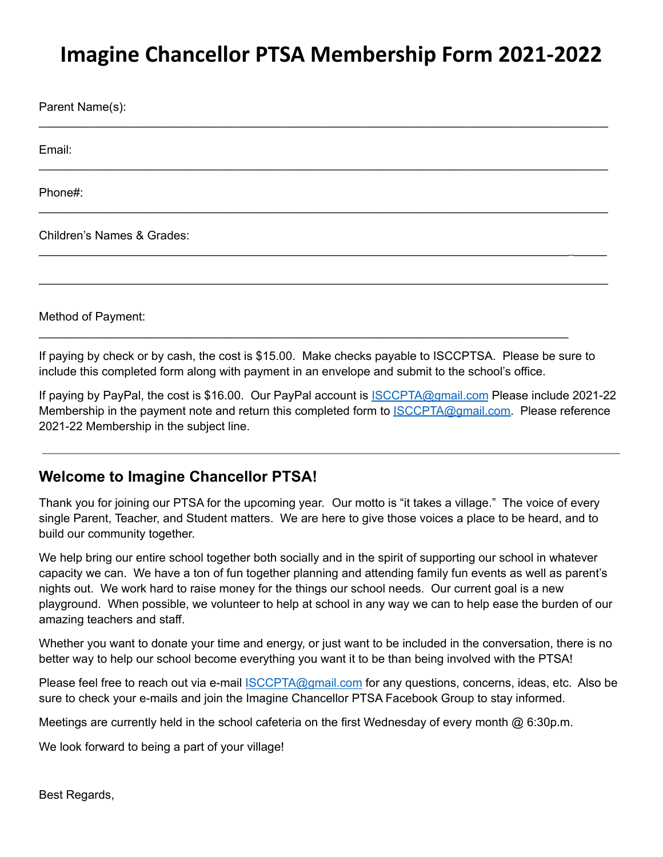## **Imagine Chancellor PTSA Membership Form 2021-2022**

\_\_\_\_\_\_\_\_\_\_\_\_\_\_\_\_\_\_\_\_\_\_\_\_\_\_\_\_\_\_\_\_\_\_\_\_\_\_\_\_\_\_\_\_\_\_\_\_\_\_\_\_\_\_\_\_\_\_\_\_\_\_\_\_\_\_\_\_\_\_\_\_\_\_\_\_\_\_\_\_\_\_\_\_\_\_

\_\_\_\_\_\_\_\_\_\_\_\_\_\_\_\_\_\_\_\_\_\_\_\_\_\_\_\_\_\_\_\_\_\_\_\_\_\_\_\_\_\_\_\_\_\_\_\_\_\_\_\_\_\_\_\_\_\_\_\_\_\_\_\_\_\_\_\_\_\_\_\_\_\_\_\_\_\_\_\_\_\_\_\_\_\_

\_\_\_\_\_\_\_\_\_\_\_\_\_\_\_\_\_\_\_\_\_\_\_\_\_\_\_\_\_\_\_\_\_\_\_\_\_\_\_\_\_\_\_\_\_\_\_\_\_\_\_\_\_\_\_\_\_\_\_\_\_\_\_\_\_\_\_\_\_\_\_\_\_\_\_\_\_\_\_\_\_\_\_\_\_\_

\_\_\_\_\_\_\_\_\_\_\_\_\_\_\_\_\_\_\_\_\_\_\_\_\_\_\_\_\_\_\_\_\_\_\_\_\_\_\_\_\_\_\_\_\_\_\_\_\_\_\_\_\_\_\_\_\_\_\_\_\_\_\_\_\_\_\_\_\_\_\_\_\_\_\_\_\_\_\_\_\_\_\_\_\_\_

\_\_\_\_\_\_\_\_\_\_\_\_\_\_\_\_\_\_\_\_\_\_\_\_\_\_\_\_\_\_\_\_\_\_\_\_\_\_\_\_\_\_\_\_\_\_\_\_\_\_\_\_\_\_\_\_\_\_\_\_\_\_\_\_\_\_\_\_\_\_\_\_\_\_\_\_\_\_\_\_\_\_\_\_\_\_

Parent Name(s):

Email:

Phone#:

Children's Names & Grades:

Method of Payment:

If paying by check or by cash, the cost is \$15.00. Make checks payable to ISCCPTSA. Please be sure to include this completed form along with payment in an envelope and submit to the school's office.

\_\_\_\_\_\_\_\_\_\_\_\_\_\_\_\_\_\_\_\_\_\_\_\_\_\_\_\_\_\_\_\_\_\_\_\_\_\_\_\_\_\_\_\_\_\_\_\_\_\_\_\_\_\_\_\_\_\_\_\_\_\_\_\_\_\_\_\_\_\_\_\_\_\_\_\_\_\_\_\_

If paying by PayPal, the cost is \$16.00. Our PayPal account is **ISCCPTA@gmail.com Please include 2021-22** Membership in the payment note and return this completed form to **ISCCPTA@gmail.com.** Please reference 2021-22 Membership in the subject line.

## **Welcome to Imagine Chancellor PTSA!**

Thank you for joining our PTSA for the upcoming year. Our motto is "it takes a village." The voice of every single Parent, Teacher, and Student matters. We are here to give those voices a place to be heard, and to build our community together.

We help bring our entire school together both socially and in the spirit of supporting our school in whatever capacity we can. We have a ton of fun together planning and attending family fun events as well as parent's nights out. We work hard to raise money for the things our school needs. Our current goal is a new playground. When possible, we volunteer to help at school in any way we can to help ease the burden of our amazing teachers and staff.

Whether you want to donate your time and energy, or just want to be included in the conversation, there is no better way to help our school become everything you want it to be than being involved with the PTSA!

Please feel free to reach out via e-mail **ISCCPTA@gmail.com** for any questions, concerns, ideas, etc. Also be sure to check your e-mails and join the Imagine Chancellor PTSA Facebook Group to stay informed.

Meetings are currently held in the school cafeteria on the first Wednesday of every month  $\omega$  6:30p.m.

We look forward to being a part of your village!

Best Regards,